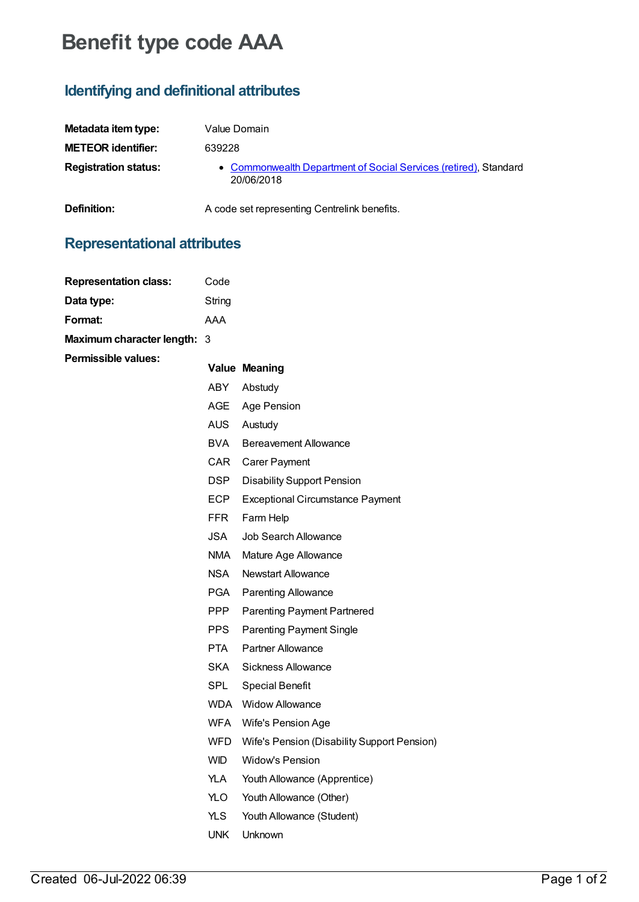# **Benefit type code AAA**

### **Identifying and definitional attributes**

| Metadata item type:         | Value Domain                                                                   |
|-----------------------------|--------------------------------------------------------------------------------|
| <b>METEOR</b> identifier:   | 639228                                                                         |
| <b>Registration status:</b> | • Commonwealth Department of Social Services (retired), Standard<br>20/06/2018 |

**Representational attributes**

**Definition:** A code set representing Centrelink benefits.

## **Representation class:** Code **Data type:** String **Format:** AAA **Maximumcharacter length:** 3 **Permissible values: Value Meaning** ABY Abstudy AGE Age Pension AUS Austudy BVA Bereavement Allowance CAR Carer Payment DSP Disability Support Pension ECP Exceptional Circumstance Payment FFR Farm Help JSA Job Search Allowance NMA Mature Age Allowance NSA Newstart Allowance PGA Parenting Allowance PPP Parenting Payment Partnered PPS Parenting Payment Single PTA Partner Allowance SKA Sickness Allowance SPL Special Benefit WDA Widow Allowance WFA Wife's Pension Age WFD Wife's Pension (Disability Support Pension) WID Widow's Pension YLA Youth Allowance (Apprentice) YLO Youth Allowance (Other) YLS Youth Allowance (Student) UNK Unknown